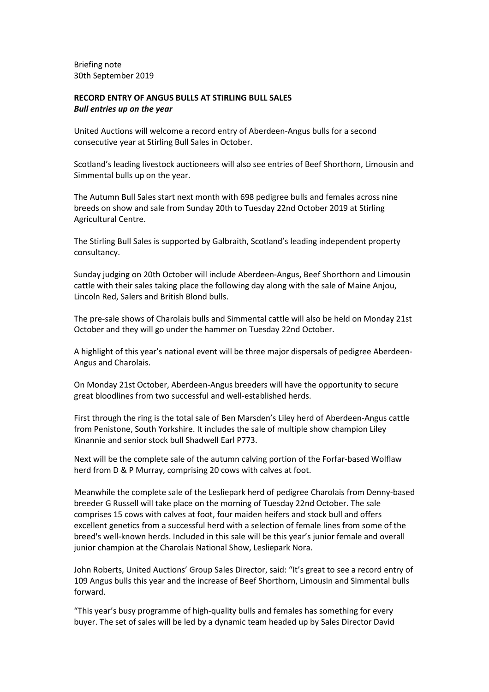**Briefing note** 30th September 2019

# RECORD ENTRY OF ANGUS BULLS AT STIRLING BULL SALES **Bull entries up on the year**

United Auctions will welcome a record entry of Aberdeen-Angus bulls for a second consecutive year at Stirling Bull Sales in October.

Scotland's leading livestock auctioneers will also see entries of Beef Shorthorn, Limousin and Simmental bulls up on the year.

The Autumn Bull Sales start next month with 698 pedigree bulls and females across nine breeds on show and sale from Sunday 20th to Tuesday 22nd October 2019 at Stirling Agricultural Centre.

The Stirling Bull Sales is supported by Galbraith, Scotland's leading independent property consultancy.

Sunday judging on 20th October will include Aberdeen-Angus, Beef Shorthorn and Limousin cattle with their sales taking place the following day along with the sale of Maine Anjou, Lincoln Red, Salers and British Blond bulls.

The pre-sale shows of Charolais bulls and Simmental cattle will also be held on Monday 21st October and they will go under the hammer on Tuesday 22nd October.

A highlight of this year's national event will be three major dispersals of pedigree Aberdeen-Angus and Charolais.

On Monday 21st October, Aberdeen-Angus breeders will have the opportunity to secure great bloodlines from two successful and well-established herds.

First through the ring is the total sale of Ben Marsden's Liley herd of Aberdeen-Angus cattle from Penistone, South Yorkshire. It includes the sale of multiple show champion Liley Kinannie and senior stock bull Shadwell Earl P773.

Next will be the complete sale of the autumn calving portion of the Forfar-based Wolflaw herd from D & P Murray, comprising 20 cows with calves at foot.

Meanwhile the complete sale of the Lesliepark herd of pedigree Charolais from Denny-based breeder G Russell will take place on the morning of Tuesday 22nd October. The sale comprises 15 cows with calves at foot, four maiden heifers and stock bull and offers excellent genetics from a successful herd with a selection of female lines from some of the breed's well-known herds. Included in this sale will be this year's junior female and overall junior champion at the Charolais National Show, Lesliepark Nora.

John Roberts, United Auctions' Group Sales Director, said: "It's great to see a record entry of 109 Angus bulls this year and the increase of Beef Shorthorn, Limousin and Simmental bulls forward.

"This year's busy programme of high-quality bulls and females has something for every buyer. The set of sales will be led by a dynamic team headed up by Sales Director David